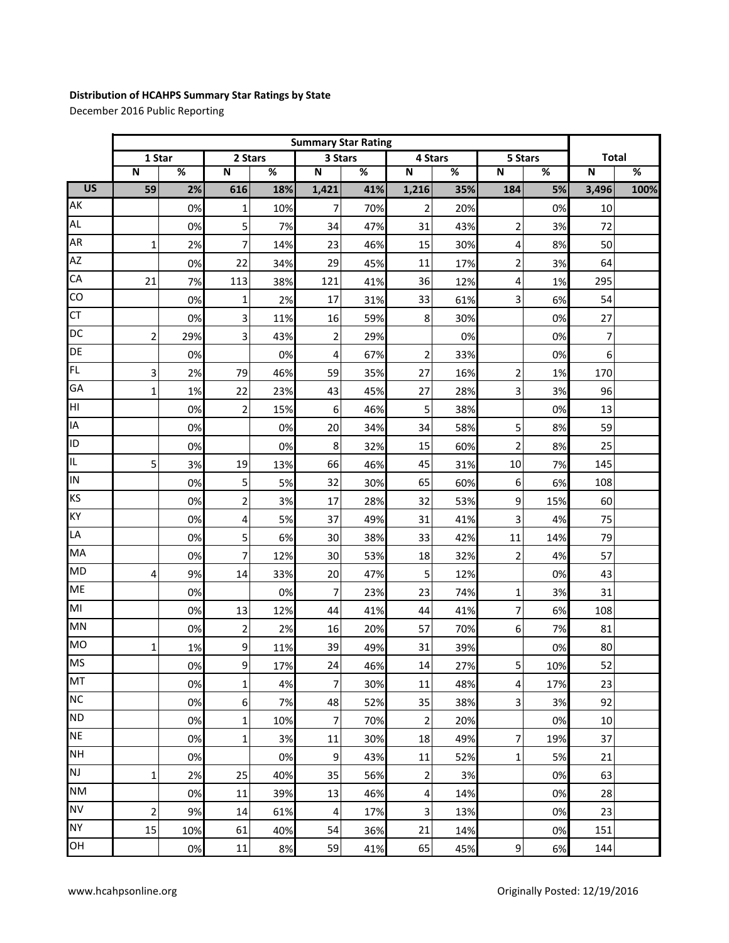## **Distribution of HCAHPS Summary Star Ratings by State**

December 2016 Public Reporting

|                 | <b>Summary Star Rating</b> |                          |                         |      |                  |      |                         |      |                |      |              |      |
|-----------------|----------------------------|--------------------------|-------------------------|------|------------------|------|-------------------------|------|----------------|------|--------------|------|
|                 | 1 Star                     |                          | 2 Stars                 |      | 3 Stars          |      | 4 Stars                 |      | 5 Stars        |      | <b>Total</b> |      |
|                 | $\mathbf N$                | $\overline{\mathscr{C}}$ | $\mathsf N$             | $\%$ | $\mathsf N$      | $\%$ | $\mathsf{N}$            | $\%$ | ${\sf N}$      | $\%$ | $\mathsf N$  | $\%$ |
| $\overline{US}$ | 59                         | 2%                       | 616                     | 18%  | 1,421            | 41%  | 1,216                   | 35%  | 184            | 5%   | 3,496        | 100% |
| AK              |                            | 0%                       | 1                       | 10%  | 7                | 70%  | $\overline{2}$          | 20%  |                | 0%   | 10           |      |
| <b>AL</b>       |                            | 0%                       | 5                       | 7%   | 34               | 47%  | 31                      | 43%  | 2              | 3%   | 72           |      |
| <b>AR</b>       | $\mathbf{1}$               | 2%                       | 7                       | 14%  | 23               | 46%  | 15                      | 30%  | 4              | 8%   | 50           |      |
| <b>AZ</b>       |                            | 0%                       | 22                      | 34%  | 29               | 45%  | 11                      | 17%  | 2              | 3%   | 64           |      |
| CA              | 21                         | 7%                       | 113                     | 38%  | 121              | 41%  | 36                      | 12%  | 4              | 1%   | 295          |      |
| $\overline{c}$  |                            | 0%                       | $\mathbf 1$             | 2%   | 17               | 31%  | 33                      | 61%  | 3              | 6%   | 54           |      |
| <b>CT</b>       |                            | 0%                       | 3                       | 11%  | 16               | 59%  | 8                       | 30%  |                | 0%   | 27           |      |
| DC              | $\overline{2}$             | 29%                      | 3                       | 43%  | $\overline{2}$   | 29%  |                         | 0%   |                | 0%   | 7            |      |
| DE              |                            | 0%                       |                         | 0%   | 4                | 67%  | $\overline{2}$          | 33%  |                | 0%   | 6            |      |
| FL              | 3                          | 2%                       | 79                      | 46%  | 59               | 35%  | 27                      | 16%  | $\overline{c}$ | 1%   | 170          |      |
| GA              | $\mathbf{1}$               | 1%                       | 22                      | 23%  | 43               | 45%  | 27                      | 28%  | 3              | 3%   | 96           |      |
| НI              |                            | 0%                       | $\overline{\mathbf{c}}$ | 15%  | $\boldsymbol{6}$ | 46%  | 5                       | 38%  |                | 0%   | 13           |      |
| IA              |                            | 0%                       |                         | 0%   | 20               | 34%  | 34                      | 58%  | 5              | 8%   | 59           |      |
| ID              |                            | 0%                       |                         | 0%   | 8                | 32%  | 15                      | 60%  | $\overline{2}$ | 8%   | 25           |      |
| IL              | 5                          | 3%                       | 19                      | 13%  | 66               | 46%  | 45                      | 31%  | 10             | 7%   | 145          |      |
| IN              |                            | 0%                       | 5                       | 5%   | 32               | 30%  | 65                      | 60%  | 6              | 6%   | 108          |      |
| KS              |                            | 0%                       | $\overline{c}$          | 3%   | 17               | 28%  | 32                      | 53%  | 9              | 15%  | 60           |      |
| KY              |                            | 0%                       | 4                       | 5%   | 37               | 49%  | 31                      | 41%  | 3              | 4%   | 75           |      |
| LA              |                            | 0%                       | 5                       | 6%   | 30               | 38%  | 33                      | 42%  | 11             | 14%  | 79           |      |
| MA              |                            | 0%                       | 7                       | 12%  | 30               | 53%  | 18                      | 32%  | $\overline{c}$ | 4%   | 57           |      |
| <b>MD</b>       | 4                          | 9%                       | 14                      | 33%  | 20               | 47%  | 5                       | 12%  |                | 0%   | 43           |      |
| <b>ME</b>       |                            | 0%                       |                         | 0%   | $\overline{7}$   | 23%  | 23                      | 74%  | 1              | 3%   | 31           |      |
| MI              |                            | 0%                       | 13                      | 12%  | 44               | 41%  | 44                      | 41%  | 7              | 6%   | 108          |      |
| <b>MN</b>       |                            | 0%                       | 2                       | 2%   | 16               | 20%  | 57                      | 70%  | 6              | 7%   | 81           |      |
| <b>MO</b>       | 1                          | 1%                       | 9                       | 11%  | 39               | 49%  | 31                      | 39%  |                | 0%   | 80           |      |
| <b>MS</b>       |                            | 0%                       | $\overline{9}$          | 17%  | 24               | 46%  | 14                      | 27%  | 5              | 10%  | 52           |      |
| MT              |                            | 0%                       | 1                       | 4%   | $\overline{7}$   | 30%  | 11                      | 48%  | 4              | 17%  | 23           |      |
| <b>NC</b>       |                            | 0%                       | $\boldsymbol{6}$        | 7%   | 48               | 52%  | 35                      | 38%  | $\overline{3}$ | 3%   | 92           |      |
| <b>ND</b>       |                            | 0%                       | 1                       | 10%  | $\overline{7}$   | 70%  | $\mathbf 2$             | 20%  |                | 0%   | $10\,$       |      |
| <b>NE</b>       |                            | 0%                       | $\mathbf 1$             | 3%   | 11               | 30%  | 18                      | 49%  | 7              | 19%  | 37           |      |
| <b>NH</b>       |                            | 0%                       |                         | 0%   | $\overline{9}$   | 43%  | 11                      | 52%  | 1              | 5%   | 21           |      |
| <b>NJ</b>       | $\mathbf{1}$               | 2%                       | 25                      | 40%  | 35               | 56%  | 2                       | 3%   |                | 0%   | 63           |      |
| <b>NM</b>       |                            | 0%                       | $11\,$                  | 39%  | 13               | 46%  | 4                       | 14%  |                | 0%   | 28           |      |
| <b>NV</b>       | $\overline{2}$             | 9%                       | 14                      | 61%  | 4                | 17%  | $\overline{\mathbf{3}}$ | 13%  |                | 0%   | 23           |      |
| <b>NY</b>       | 15                         | 10%                      | 61                      | 40%  | 54               | 36%  | 21                      | 14%  |                | 0%   | 151          |      |
| OH              |                            | 0%                       | $11\,$                  | 8%   | 59               | 41%  | 65                      | 45%  | $\overline{9}$ | 6%   | 144          |      |